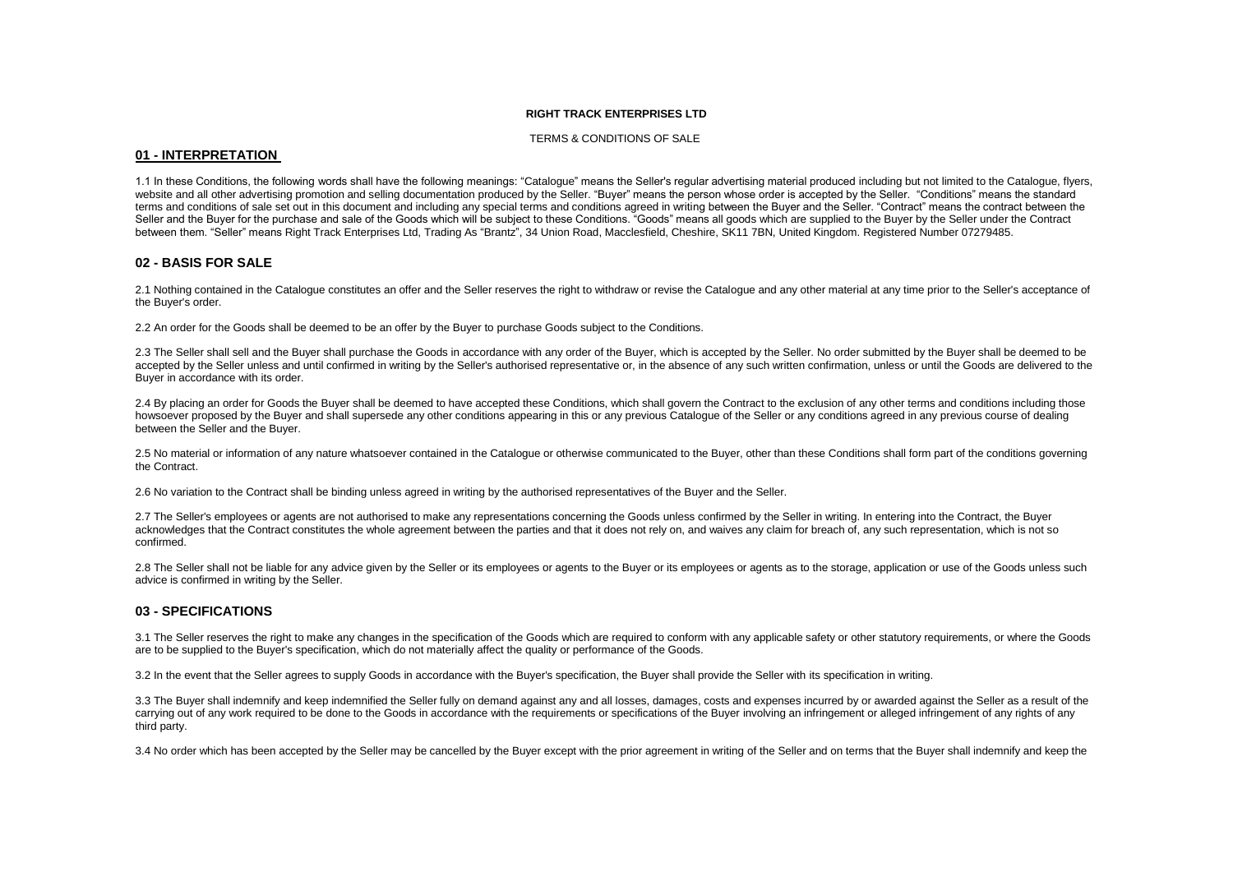#### **RIGHT TRACK ENTERPRISES LTD**

#### TERMS & CONDITIONS OF SALE

#### **01 - INTERPRETATION**

1.1 In these Conditions, the following words shall have the following meanings: "Catalogue" means the Seller's regular advertising material produced including but not limited to the Catalogue, flyers, website and all other advertising promotion and selling documentation produced by the Seller. "Buyer" means the person whose order is accepted by the Seller. "Conditions" means the standard terms and conditions of sale set out in this document and including any special terms and conditions agreed in writing between the Buyer and the Seller. "Contract" means the contract between the Seller and the Buyer for the purchase and sale of the Goods which will be subject to these Conditions. "Goods" means all goods which are supplied to the Buyer by the Seller under the Contract between them. "Seller" means Right Track Enterprises Ltd, Trading As "Brantz", 34 Union Road, Macclesfield, Cheshire, SK11 7BN, United Kingdom, Registered Number 07279485.

#### **02 - BASIS FOR SALE**

2.1 Nothing contained in the Catalogue constitutes an offer and the Seller reserves the right to withdraw or revise the Catalogue and any other material at any time prior to the Seller's acceptance of the Buyer's order.

2.2 An order for the Goods shall be deemed to be an offer by the Buyer to purchase Goods subject to the Conditions.

2.3 The Seller shall sell and the Buyer shall purchase the Goods in accordance with any order of the Buyer, which is accepted by the Seller. No order submitted by the Buyer shall be deemed to be accepted by the Seller unless and until confirmed in writing by the Seller's authorised representative or, in the absence of any such written confirmation, unless or until the Goods are delivered to the Buyer in accordance with its order.

2.4 By placing an order for Goods the Buyer shall be deemed to have accepted these Conditions, which shall govern the Contract to the exclusion of any other terms and conditions including those howsoever proposed by the Buyer and shall supersede any other conditions appearing in this or any previous Catalogue of the Seller or any conditions agreed in any previous course of dealing between the Seller and the Buyer.

2.5 No material or information of any nature whatsoever contained in the Catalogue or otherwise communicated to the Buyer, other than these Conditions shall form part of the conditions governing the Contract.

2.6 No variation to the Contract shall be binding unless agreed in writing by the authorised representatives of the Buyer and the Seller.

2.7 The Seller's employees or agents are not authorised to make any representations concerning the Goods unless confirmed by the Seller in writing. In entering into the Contract, the Buyer acknowledges that the Contract constitutes the whole agreement between the parties and that it does not rely on, and waives any claim for breach of, any such representation, which is not so confirmed.

2.8 The Seller shall not be liable for any advice given by the Seller or its employees or agents to the Buyer or its employees or agents as to the storage, application or use of the Goods unless such advice is confirmed in writing by the Seller.

## **03 - SPECIFICATIONS**

3.1 The Seller reserves the right to make any changes in the specification of the Goods which are required to conform with any applicable safety or other statutory requirements, or where the Goods are to be supplied to the Buyer's specification, which do not materially affect the quality or performance of the Goods.

3.2 In the event that the Seller agrees to supply Goods in accordance with the Buyer's specification, the Buyer shall provide the Seller with its specification in writing.

3.3 The Buyer shall indemnify and keep indemnified the Seller fully on demand against any and all losses, damages, costs and expenses incurred by or awarded against the Seller as a result of the carrying out of any work required to be done to the Goods in accordance with the requirements or specifications of the Buyer involving an infringement or alleged infringement of any rights of any third party.

3.4 No order which has been accepted by the Seller may be cancelled by the Buyer except with the prior agreement in writing of the Seller and on terms that the Buyer shall indemnify and keep the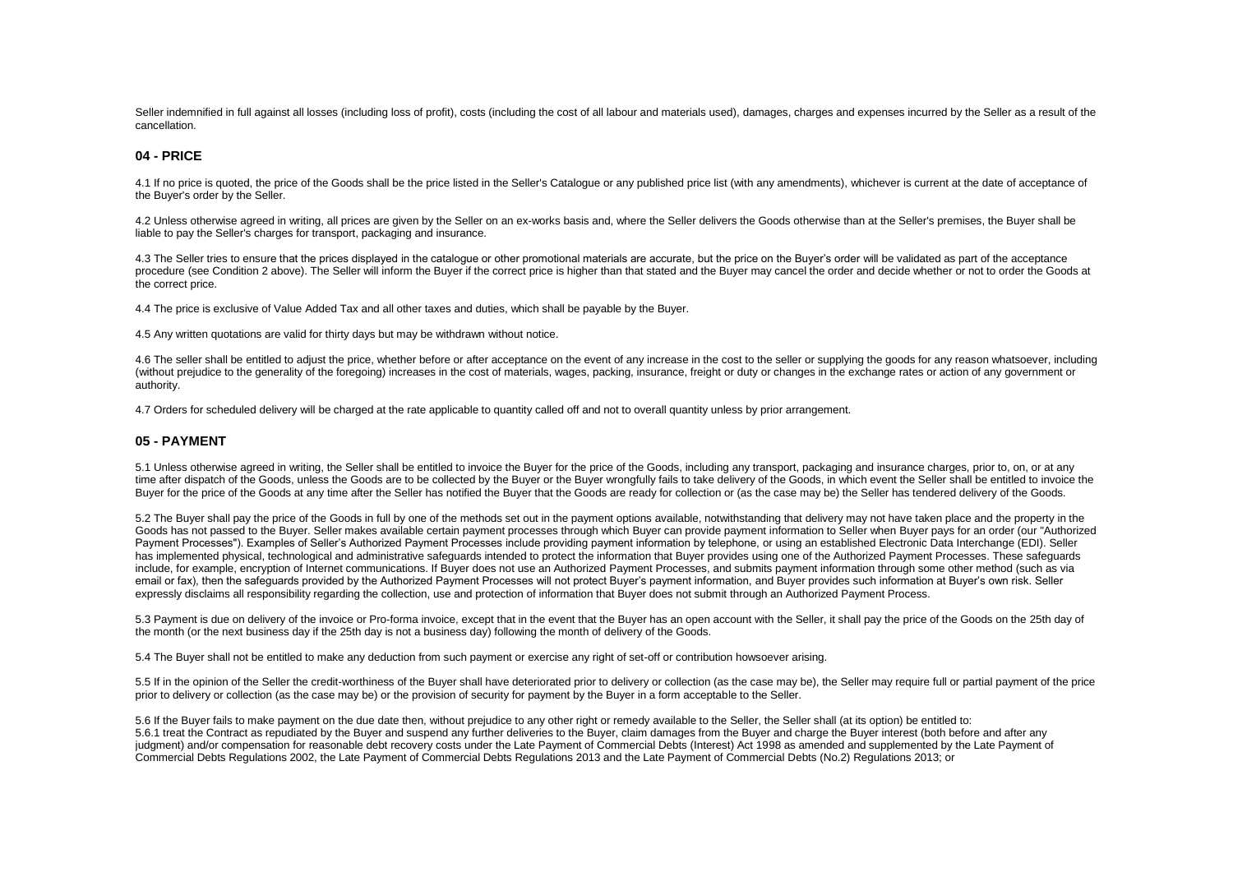Seller indemnified in full against all losses (including loss of profit), costs (including the cost of all labour and materials used), damages, charges and expenses incurred by the Seller as a result of the cancellation.

#### **04 - PRICE**

4.1 If no price is quoted, the price of the Goods shall be the price listed in the Seller's Catalogue or any published price list (with any amendments), whichever is current at the date of acceptance of the Buyer's order by the Seller.

4.2 Unless otherwise agreed in writing, all prices are given by the Seller on an ex-works basis and, where the Seller delivers the Goods otherwise than at the Seller's premises, the Buyer shall be liable to pay the Seller's charges for transport, packaging and insurance.

4.3 The Seller tries to ensure that the prices displayed in the catalogue or other promotional materials are accurate, but the price on the Buyer's order will be validated as part of the acceptance procedure (see Condition 2 above). The Seller will inform the Buyer if the correct price is higher than that stated and the Buyer may cancel the order and decide whether or not to order the Goods at the correct price.

4.4 The price is exclusive of Value Added Tax and all other taxes and duties, which shall be payable by the Buyer.

4.5 Any written quotations are valid for thirty days but may be withdrawn without notice.

4.6 The seller shall be entitled to adjust the price, whether before or after acceptance on the event of any increase in the cost to the seller or supplying the goods for any reason whatsoever, including (without prejudice to the generality of the foregoing) increases in the cost of materials, wages, packing, insurance, freight or duty or changes in the exchange rates or action of any government or authority.

4.7 Orders for scheduled delivery will be charged at the rate applicable to quantity called off and not to overall quantity unless by prior arrangement.

#### **05 - PAYMENT**

5.1 Unless otherwise agreed in writing, the Seller shall be entitled to invoice the Buyer for the price of the Goods, including any transport, packaging and insurance charges, prior to, on, or at any time after dispatch of the Goods, unless the Goods are to be collected by the Buyer or the Buyer wrongfully fails to take delivery of the Goods, in which event the Seller shall be entitled to invoice the Buyer for the price of the Goods at any time after the Seller has notified the Buyer that the Goods are ready for collection or (as the case may be) the Seller has tendered delivery of the Goods.

5.2 The Buyer shall pay the price of the Goods in full by one of the methods set out in the payment options available, notwithstanding that delivery may not have taken place and the property in the Goods has not passed to the Buyer. Seller makes available certain payment processes through which Buyer can provide payment information to Seller when Buyer pays for an order (our "Authorized Payment Processes"). Examples of Seller's Authorized Payment Processes include providing payment information by telephone, or using an established Electronic Data Interchange (EDI). Seller has implemented physical, technological and administrative safeguards intended to protect the information that Buyer provides using one of the Authorized Payment Processes. These safeguards include, for example, encryption of Internet communications. If Buyer does not use an Authorized Payment Processes, and submits payment information through some other method (such as via email or fax), then the safeguards provided by the Authorized Payment Processes will not protect Buyer's payment information, and Buyer provides such information at Buyer's own risk. Seller expressly disclaims all responsibility regarding the collection, use and protection of information that Buyer does not submit through an Authorized Payment Process.

5.3 Payment is due on delivery of the invoice or Pro-forma invoice, except that in the event that the Buyer has an open account with the Seller, it shall pay the price of the Goods on the 25th day of the month (or the next business day if the 25th day is not a business day) following the month of delivery of the Goods.

5.4 The Buyer shall not be entitled to make any deduction from such payment or exercise any right of set-off or contribution howsoever arising.

5.5 If in the opinion of the Seller the credit-worthiness of the Buyer shall have deteriorated prior to delivery or collection (as the case may be), the Seller may require full or partial payment of the price prior to delivery or collection (as the case may be) or the provision of security for payment by the Buyer in a form acceptable to the Seller.

5.6 If the Buyer fails to make payment on the due date then, without prejudice to any other right or remedy available to the Seller, the Seller shall (at its option) be entitled to: 5.6.1 treat the Contract as repudiated by the Buyer and suspend any further deliveries to the Buyer, claim damages from the Buyer and charge the Buyer interest (both before and after any judgment) and/or compensation for reasonable debt recovery costs under the Late Payment of Commercial Debts (Interest) Act 1998 as amended and supplemented by the Late Payment of Commercial Debts Regulations 2002, the Late Payment of Commercial Debts Regulations 2013 and the Late Payment of Commercial Debts (No.2) Regulations 2013; or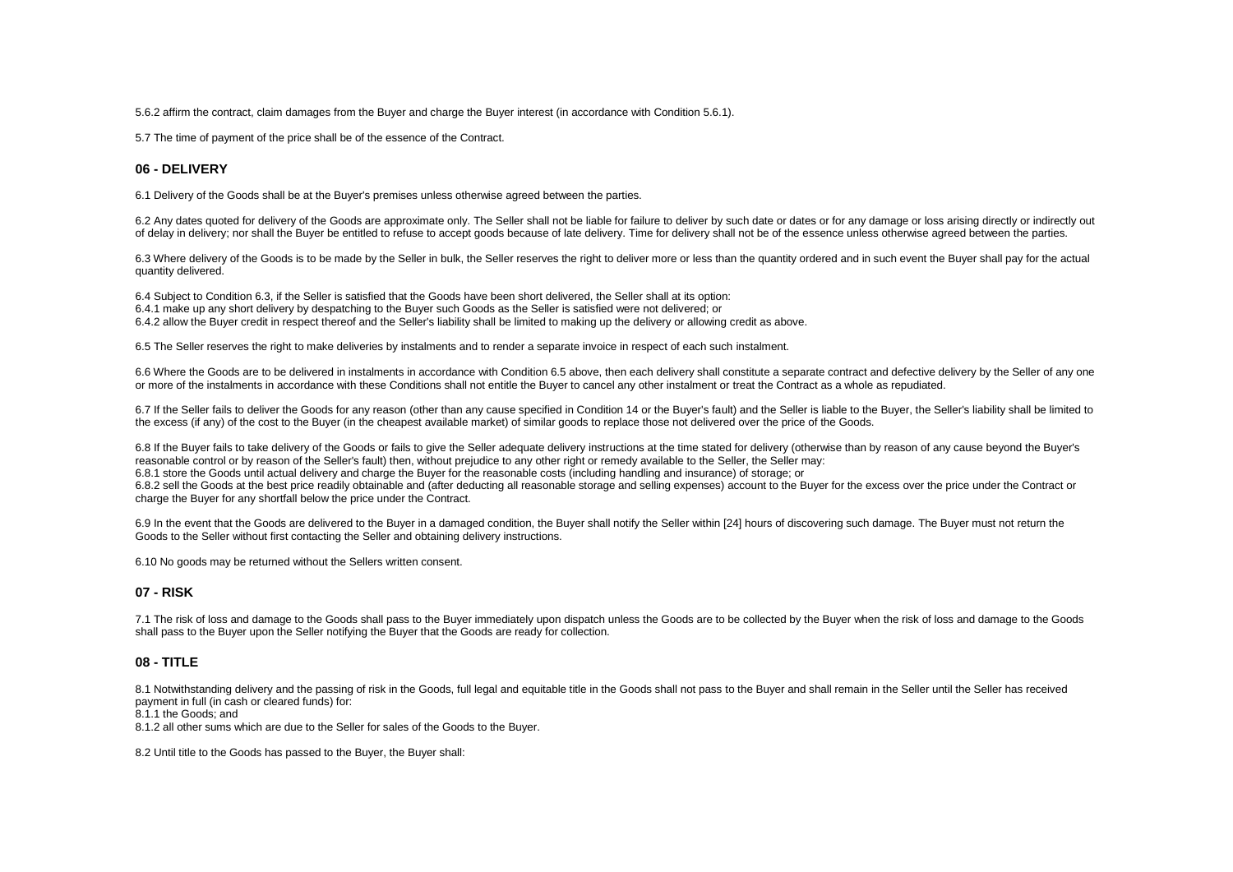5.6.2 affirm the contract, claim damages from the Buyer and charge the Buyer interest (in accordance with Condition 5.6.1).

5.7 The time of payment of the price shall be of the essence of the Contract.

## **06 - DELIVERY**

6.1 Delivery of the Goods shall be at the Buyer's premises unless otherwise agreed between the parties.

6.2 Any dates quoted for delivery of the Goods are approximate only. The Seller shall not be liable for failure to deliver by such date or dates or for any damage or loss arising directly or indirectly out of delay in delivery; nor shall the Buyer be entitled to refuse to accept goods because of late delivery. Time for delivery shall not be of the essence unless otherwise agreed between the parties.

6.3 Where delivery of the Goods is to be made by the Seller in bulk, the Seller reserves the right to deliver more or less than the quantity ordered and in such event the Buyer shall pay for the actual quantity delivered.

6.4 Subject to Condition 6.3, if the Seller is satisfied that the Goods have been short delivered, the Seller shall at its option: 6.4.1 make up any short delivery by despatching to the Buyer such Goods as the Seller is satisfied were not delivered; or 6.4.2 allow the Buyer credit in respect thereof and the Seller's liability shall be limited to making up the delivery or allowing credit as above.

6.5 The Seller reserves the right to make deliveries by instalments and to render a separate invoice in respect of each such instalment.

6.6 Where the Goods are to be delivered in instalments in accordance with Condition 6.5 above, then each delivery shall constitute a separate contract and defective delivery by the Seller of any one or more of the instalments in accordance with these Conditions shall not entitle the Buyer to cancel any other instalment or treat the Contract as a whole as repudiated.

6.7 If the Seller fails to deliver the Goods for any reason (other than any cause specified in Condition 14 or the Buyer's fault) and the Seller is liable to the Buyer, the Seller's liability shall be limited to the excess (if any) of the cost to the Buyer (in the cheapest available market) of similar goods to replace those not delivered over the price of the Goods.

6.8 If the Buyer fails to take delivery of the Goods or fails to give the Seller adequate delivery instructions at the time stated for delivery (otherwise than by reason of any cause beyond the Buyer's reasonable control or by reason of the Seller's fault) then, without prejudice to any other right or remedy available to the Seller, the Seller may:

6.8.1 store the Goods until actual delivery and charge the Buyer for the reasonable costs (including handling and insurance) of storage; or

6.8.2 sell the Goods at the best price readily obtainable and (after deducting all reasonable storage and selling expenses) account to the Buyer for the excess over the price under the Contract or charge the Buyer for any shortfall below the price under the Contract.

6.9 In the event that the Goods are delivered to the Buyer in a damaged condition, the Buyer shall notify the Seller within [24] hours of discovering such damage. The Buyer must not return the Goods to the Seller without first contacting the Seller and obtaining delivery instructions.

6.10 No goods may be returned without the Sellers written consent.

## **07 - RISK**

7.1 The risk of loss and damage to the Goods shall pass to the Buyer immediately upon dispatch unless the Goods are to be collected by the Buyer when the risk of loss and damage to the Goods shall pass to the Buyer upon the Seller notifying the Buyer that the Goods are ready for collection.

## **08 - TITLE**

8.1 Notwithstanding delivery and the passing of risk in the Goods, full legal and equitable title in the Goods shall not pass to the Buyer and shall remain in the Seller until the Seller has received payment in full (in cash or cleared funds) for:

8.1.1 the Goods; and

8.1.2 all other sums which are due to the Seller for sales of the Goods to the Buyer.

8.2 Until title to the Goods has passed to the Buyer, the Buyer shall: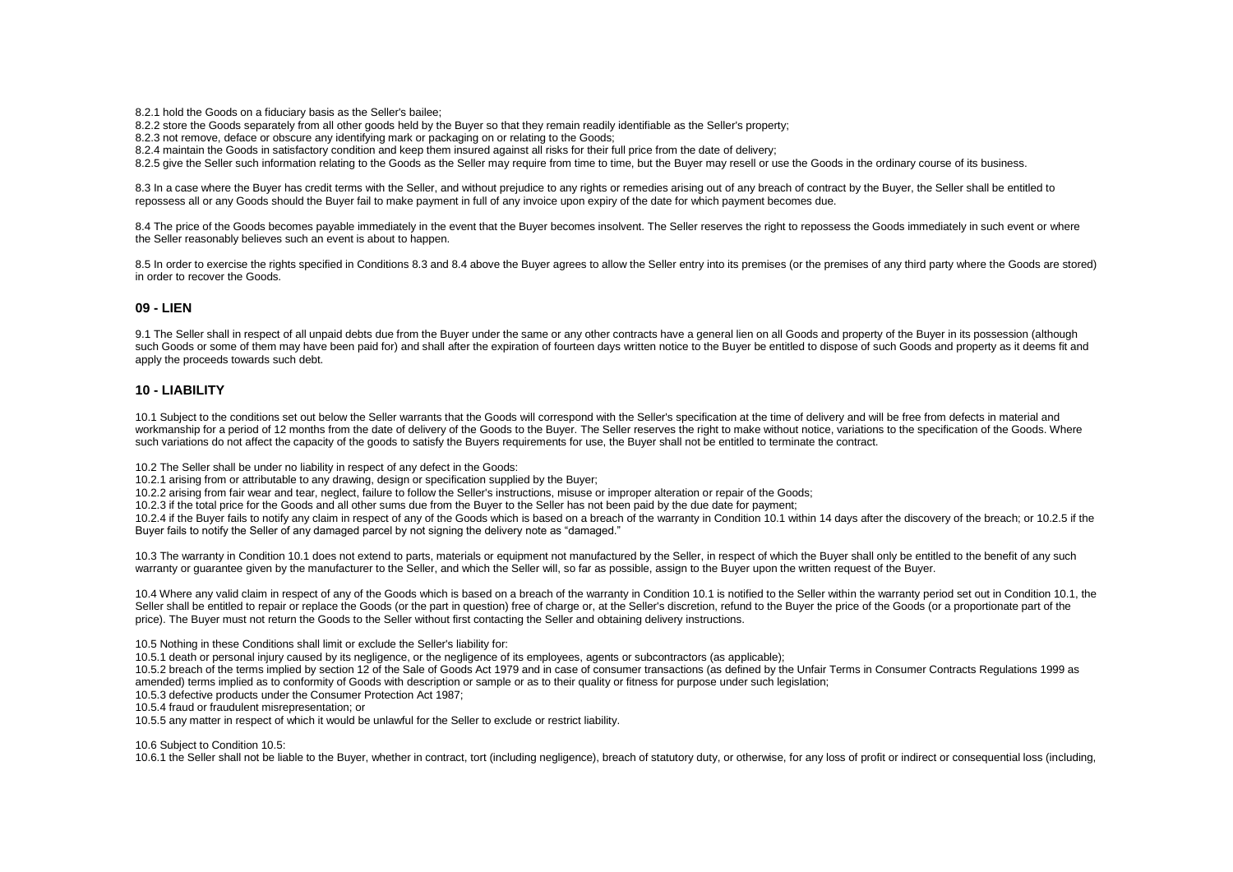8.2.1 hold the Goods on a fiduciary basis as the Seller's bailee;

8.2.2 store the Goods separately from all other goods held by the Buyer so that they remain readily identifiable as the Seller's property;

8.2.3 not remove, deface or obscure any identifying mark or packaging on or relating to the Goods;

8.2.4 maintain the Goods in satisfactory condition and keep them insured against all risks for their full price from the date of delivery;

8.2.5 give the Seller such information relating to the Goods as the Seller may require from time to time, but the Buyer may resell or use the Goods in the ordinary course of its business.

8.3 In a case where the Buyer has credit terms with the Seller, and without prejudice to any rights or remedies arising out of any breach of contract by the Buyer, the Seller shall be entitled to repossess all or any Goods should the Buyer fail to make payment in full of any invoice upon expiry of the date for which payment becomes due.

8.4 The price of the Goods becomes payable immediately in the event that the Buyer becomes insolvent. The Seller reserves the right to repossess the Goods immediately in such event or where the Seller reasonably believes such an event is about to happen.

8.5 In order to exercise the rights specified in Conditions 8.3 and 8.4 above the Buyer agrees to allow the Seller entry into its premises (or the premises of any third party where the Goods are stored) in order to recover the Goods.

## **09 - LIEN**

9.1 The Seller shall in respect of all unpaid debts due from the Buyer under the same or any other contracts have a general lien on all Goods and property of the Buyer in its possession (although such Goods or some of them may have been paid for) and shall after the expiration of fourteen days written notice to the Buyer be entitled to dispose of such Goods and property as it deems fit and apply the proceeds towards such debt.

#### **10 - LIABILITY**

10.1 Subject to the conditions set out below the Seller warrants that the Goods will correspond with the Seller's specification at the time of delivery and will be free from defects in material and workmanship for a period of 12 months from the date of delivery of the Goods to the Buyer. The Seller reserves the right to make without notice, variations to the specification of the Goods. Where such variations do not affect the capacity of the goods to satisfy the Buyers requirements for use, the Buyer shall not be entitled to terminate the contract.

10.2 The Seller shall be under no liability in respect of any defect in the Goods:

10.2.1 arising from or attributable to any drawing, design or specification supplied by the Buyer;

10.2.2 arising from fair wear and tear, neglect, failure to follow the Seller's instructions, misuse or improper alteration or repair of the Goods;

10.2.3 if the total price for the Goods and all other sums due from the Buyer to the Seller has not been paid by the due date for payment;

10.2.4 if the Buyer fails to notify any claim in respect of any of the Goods which is based on a breach of the warranty in Condition 10.1 within 14 days after the discovery of the breach; or 10.2.5 if the Buyer fails to notify the Seller of any damaged parcel by not signing the delivery note as "damaged."

10.3 The warranty in Condition 10.1 does not extend to parts, materials or equipment not manufactured by the Seller, in respect of which the Buyer shall only be entitled to the benefit of any such warranty or quarantee given by the manufacturer to the Seller, and which the Seller will, so far as possible, assign to the Buyer upon the written request of the Buyer.

10.4 Where any valid claim in respect of any of the Goods which is based on a breach of the warranty in Condition 10.1 is notified to the Seller within the warranty period set out in Condition 10.1, the Seller shall be entitled to repair or replace the Goods (or the part in question) free of charge or, at the Seller's discretion, refund to the Buyer the price of the Goods (or a proportionate part of the price). The Buyer must not return the Goods to the Seller without first contacting the Seller and obtaining delivery instructions.

10.5 Nothing in these Conditions shall limit or exclude the Seller's liability for:

10.5.1 death or personal injury caused by its negligence, or the negligence of its employees, agents or subcontractors (as applicable);

10.5.2 breach of the terms implied by section 12 of the Sale of Goods Act 1979 and in case of consumer transactions (as defined by the Unfair Terms in Consumer Contracts Regulations 1999 as amended) terms implied as to conformity of Goods with description or sample or as to their quality or fitness for purpose under such legislation;

10.5.3 defective products under the Consumer Protection Act 1987;

10.5.4 fraud or fraudulent misrepresentation; or

10.5.5 any matter in respect of which it would be unlawful for the Seller to exclude or restrict liability.

10.6 Subject to Condition 10.5:

10.6.1 the Seller shall not be liable to the Buyer, whether in contract, tort (including negligence), breach of statutory duty, or otherwise, for any loss of profit or indirect or consequential loss (including,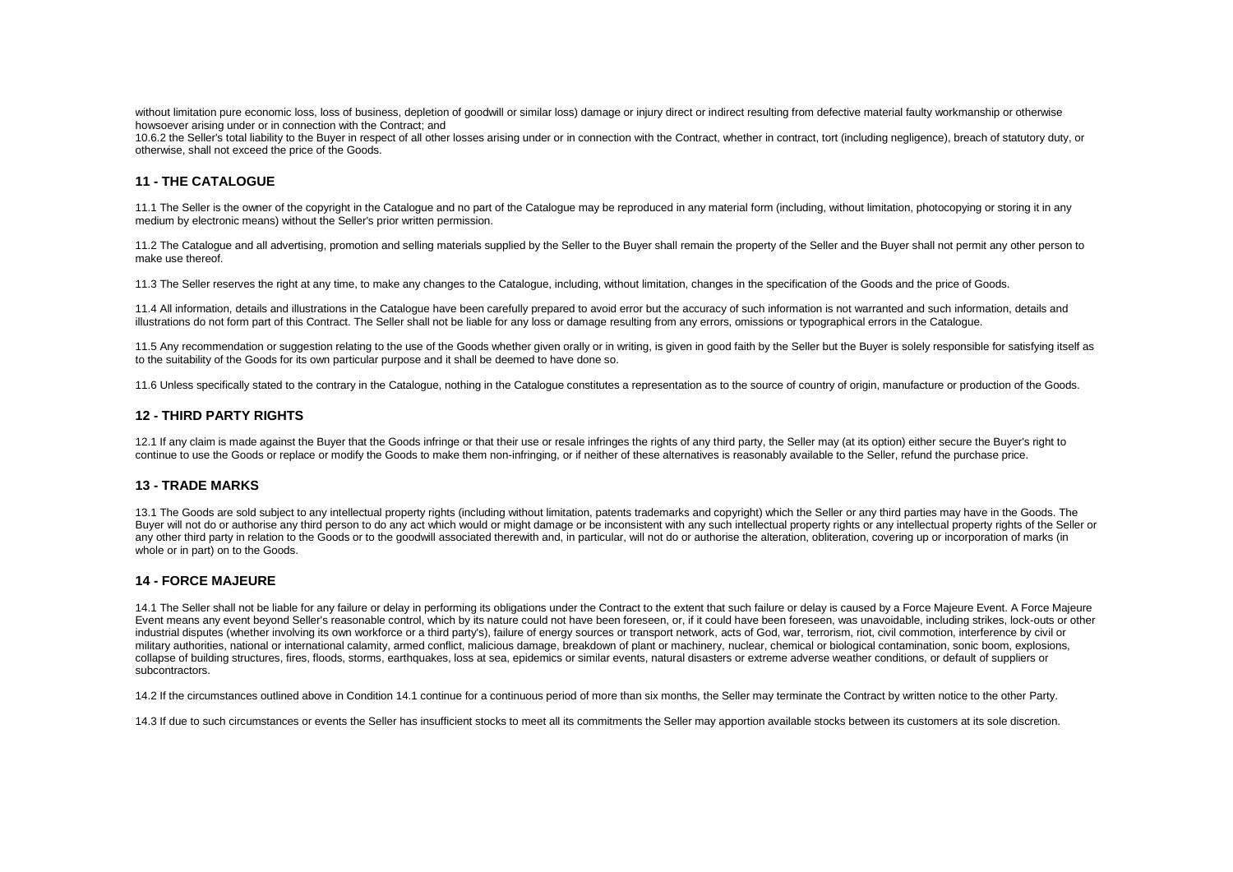without limitation pure economic loss, loss of business, depletion of goodwill or similar loss) damage or injury direct or indirect resulting from defective material faulty workmanship or otherwise howsoever arising under or in connection with the Contract; and

10.6.2 the Seller's total liability to the Buyer in respect of all other losses arising under or in connection with the Contract, whether in contract, tort (including negligence), breach of statutory duty, or otherwise, shall not exceed the price of the Goods.

# **11 - THE CATALOGUE**

11.1 The Seller is the owner of the copyright in the Catalogue and no part of the Catalogue may be reproduced in any material form (including, without limitation, photocopying or storing it in any medium by electronic means) without the Seller's prior written permission.

11.2 The Catalogue and all advertising, promotion and selling materials supplied by the Seller to the Buyer shall remain the property of the Seller and the Buyer shall not permit any other person to make use thereof.

11.3 The Seller reserves the right at any time, to make any changes to the Catalogue, including, without limitation, changes in the specification of the Goods and the price of Goods.

11.4 All information, details and illustrations in the Catalogue have been carefully prepared to avoid error but the accuracy of such information is not warranted and such information, details and illustrations do not form part of this Contract. The Seller shall not be liable for any loss or damage resulting from any errors, omissions or typographical errors in the Catalogue.

11.5 Any recommendation or suggestion relating to the use of the Goods whether given orally or in writing, is given in good faith by the Seller but the Buyer is solely responsible for satisfying itself as to the suitability of the Goods for its own particular purpose and it shall be deemed to have done so.

11.6 Unless specifically stated to the contrary in the Catalogue, nothing in the Catalogue constitutes a representation as to the source of country of origin, manufacture or production of the Goods.

## **12 - THIRD PARTY RIGHTS**

12.1 If any claim is made against the Buyer that the Goods infringe or that their use or resale infringes the rights of any third party, the Seller may (at its option) either secure the Buyer's right to continue to use the Goods or replace or modify the Goods to make them non-infringing, or if neither of these alternatives is reasonably available to the Seller, refund the purchase price.

## **13 - TRADE MARKS**

13.1 The Goods are sold subject to any intellectual property rights (including without limitation, patents trademarks and copyright) which the Seller or any third parties may have in the Goods. The Buyer will not do or authorise any third person to do any act which would or might damage or be inconsistent with any such intellectual property rights or any intellectual property rights of any intellectual property right any other third party in relation to the Goods or to the goodwill associated therewith and, in particular, will not do or authorise the alteration, obliteration, covering up or incorporation of marks (in whole or in part) on to the Goods.

## **14 - FORCE MAJEURE**

14.1 The Seller shall not be liable for any failure or delay in performing its obligations under the Contract to the extent that such failure or delay is caused by a Force Majeure Event. A Force Majeure Event means any event beyond Seller's reasonable control, which by its nature could not have been foreseen, or, if it could have been foreseen, was unavoidable, including strikes, lock-outs or other industrial disputes (whether involving its own workforce or a third party's), failure of energy sources or transport network, acts of God, war, terrorism, riot, civil commotion, interference by civil or military authorities, national or international calamity, armed conflict, malicious damage, breakdown of plant or machinery, nuclear, chemical or biological contamination, sonic boom, explosions, collapse of building structures, fires, floods, storms, earthquakes, loss at sea, epidemics or similar events, natural disasters or extreme adverse weather conditions, or default of suppliers or subcontractors.

14.2 If the circumstances outlined above in Condition 14.1 continue for a continuous period of more than six months, the Seller may terminate the Contract by written notice to the other Party.

14.3 If due to such circumstances or events the Seller has insufficient stocks to meet all its commitments the Seller may apportion available stocks between its customers at its sole discretion.